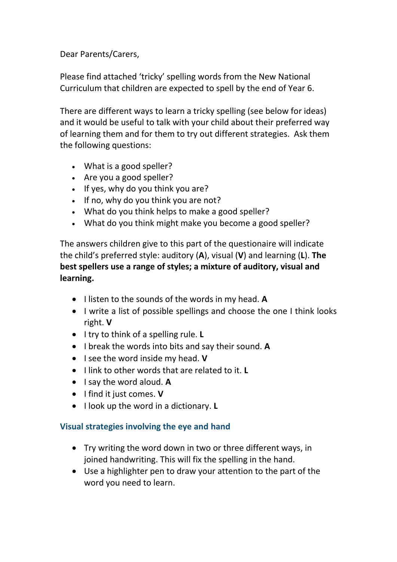Dear Parents/Carers,

Please find attached 'tricky' spelling words from the New National Curriculum that children are expected to spell by the end of Year 6.

There are different ways to learn a tricky spelling (see below for ideas) and it would be useful to talk with your child about their preferred way of learning them and for them to try out different strategies. Ask them the following questions:

- What is a good speller?
- Are you a good speller?
- If yes, why do you think you are?
- If no, why do you think you are not?
- What do you think helps to make a good speller?
- What do you think might make you become a good speller?

The answers children give to this part of the questionaire will indicate the child's preferred style: auditory (**A**), visual (**V**) and learning (**L**). **The best spellers use a range of styles; a mixture of auditory, visual and learning.**

- I listen to the sounds of the words in my head. A
- I write a list of possible spellings and choose the one I think looks right. **V**
- **•** I try to think of a spelling rule. L
- I break the words into bits and say their sound. **A**
- **•** I see the word inside my head. **V**
- I link to other words that are related to it. **L**
- I say the word aloud. A
- **•** I find it just comes. **V**
- **I** look up the word in a dictionary. **L**

## **Visual strategies involving the eye and hand**

- Try writing the word down in two or three different ways, in joined handwriting. This will fix the spelling in the hand.
- Use a highlighter pen to draw your attention to the part of the word you need to learn.